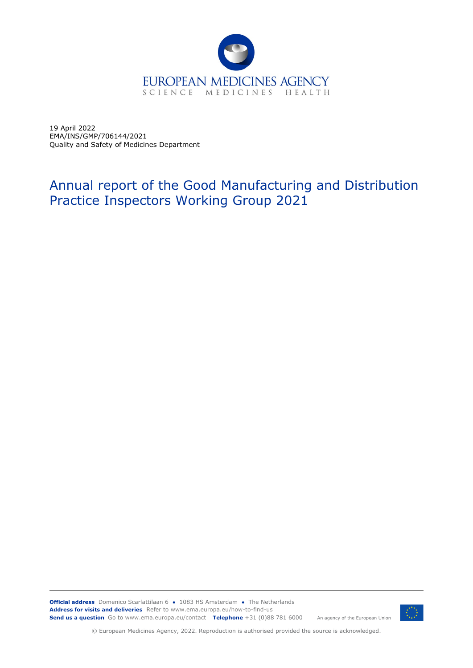

19 April 2022 EMA/INS/GMP/706144/2021 Quality and Safety of Medicines Department

# Annual report of the Good Manufacturing and Distribution Practice Inspectors Working Group 2021

**Official address** Domenico Scarlattilaan 6 **●** 1083 HS Amsterdam **●** The Netherlands An agency of the European Union **Address for visits and deliveries** Refer to www.ema.europa.eu/how-to-find-us **Send us a question** Go to www.ema.europa.eu/contact **Telephone** +31 (0)88 781 6000



© European Medicines Agency, 2022. Reproduction is authorised provided the source is acknowledged.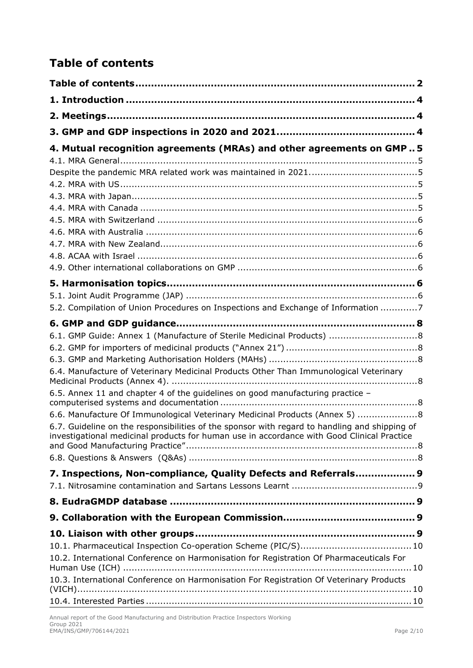# <span id="page-1-0"></span>**Table of contents**

| 4. Mutual recognition agreements (MRAs) and other agreements on GMP5                                                                                                                                                                                                                                                                                                                                                                                                                                                                                                                               |
|----------------------------------------------------------------------------------------------------------------------------------------------------------------------------------------------------------------------------------------------------------------------------------------------------------------------------------------------------------------------------------------------------------------------------------------------------------------------------------------------------------------------------------------------------------------------------------------------------|
|                                                                                                                                                                                                                                                                                                                                                                                                                                                                                                                                                                                                    |
| 5.2. Compilation of Union Procedures on Inspections and Exchange of Information 7                                                                                                                                                                                                                                                                                                                                                                                                                                                                                                                  |
| 6.1. GMP Guide: Annex 1 (Manufacture of Sterile Medicinal Products)  8<br>6.4. Manufacture of Veterinary Medicinal Products Other Than Immunological Veterinary<br>6.5. Annex 11 and chapter 4 of the guidelines on good manufacturing practice -<br>6.6. Manufacture Of Immunological Veterinary Medicinal Products (Annex 5) 8<br>6.7. Guideline on the responsibilities of the sponsor with regard to handling and shipping of<br>investigational medicinal products for human use in accordance with Good Clinical Practice<br>7. Inspections, Non-compliance, Quality Defects and Referrals 9 |
|                                                                                                                                                                                                                                                                                                                                                                                                                                                                                                                                                                                                    |
|                                                                                                                                                                                                                                                                                                                                                                                                                                                                                                                                                                                                    |
| 10.2. International Conference on Harmonisation for Registration Of Pharmaceuticals For<br>10.3. International Conference on Harmonisation For Registration Of Veterinary Products                                                                                                                                                                                                                                                                                                                                                                                                                 |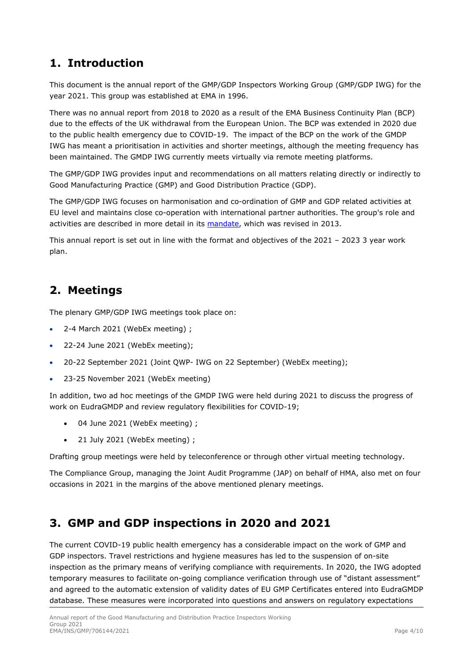## <span id="page-3-0"></span>**1. Introduction**

This document is the annual report of the GMP/GDP Inspectors Working Group (GMP/GDP IWG) for the year 2021. This group was established at EMA in 1996.

There was no annual report from 2018 to 2020 as a result of the EMA Business Continuity Plan (BCP) due to the effects of the UK withdrawal from the European Union. The BCP was extended in 2020 due to the public health emergency due to COVID-19. The impact of the BCP on the work of the GMDP IWG has meant a prioritisation in activities and shorter meetings, although the meeting frequency has been maintained. The GMDP IWG currently meets virtually via remote meeting platforms.

The GMP/GDP IWG provides input and recommendations on all matters relating directly or indirectly to Good Manufacturing Practice (GMP) and Good Distribution Practice (GDP).

The GMP/GDP IWG focuses on harmonisation and co-ordination of GMP and GDP related activities at EU level and maintains close co-operation with international partner authorities. The group's role and activities are described in more detail in its [mandate,](http://www.ema.europa.eu/docs/en_GB/document_library/Other/2009/10/WC500004873.pdf) which was revised in 2013.

This annual report is set out in line with the format and objectives of the 2021 – 2023 3 year work plan.

## <span id="page-3-1"></span>**2. Meetings**

The plenary GMP/GDP IWG meetings took place on:

- 2-4 March 2021 (WebEx meeting) ;
- 22-24 June 2021 (WebEx meeting);
- 20-22 September 2021 (Joint QWP- IWG on 22 September) (WebEx meeting);
- 23-25 November 2021 (WebEx meeting)

In addition, two ad hoc meetings of the GMDP IWG were held during 2021 to discuss the progress of work on EudraGMDP and review regulatory flexibilities for COVID-19;

- 04 June 2021 (WebEx meeting) ;
- 21 July 2021 (WebEx meeting) ;

Drafting group meetings were held by teleconference or through other virtual meeting technology.

The Compliance Group, managing the Joint Audit Programme (JAP) on behalf of HMA, also met on four occasions in 2021 in the margins of the above mentioned plenary meetings.

## <span id="page-3-2"></span>**3. GMP and GDP inspections in 2020 and 2021**

The current COVID-19 public health emergency has a considerable impact on the work of GMP and GDP inspectors. Travel restrictions and hygiene measures has led to the suspension of on-site inspection as the primary means of verifying compliance with requirements. In 2020, the IWG adopted temporary measures to facilitate on-going compliance verification through use of "distant assessment" and agreed to the automatic extension of validity dates of EU GMP Certificates entered into EudraGMDP database. These measures were incorporated into questions and answers on regulatory expectations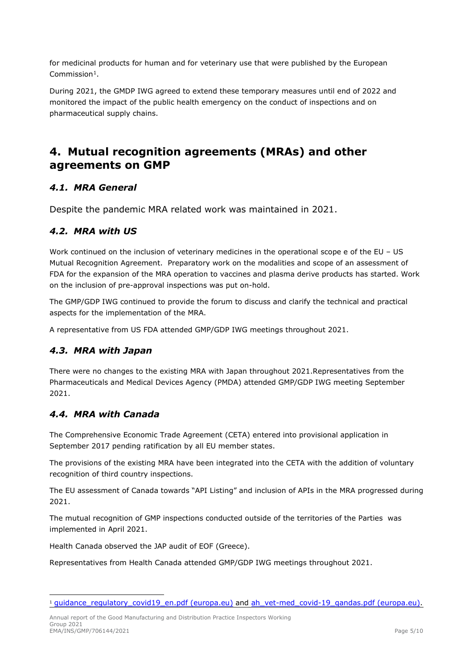for medicinal products for human and for veterinary use that were published by the European Commission[1](#page-4-6).

During 2021, the GMDP IWG agreed to extend these temporary measures until end of 2022 and monitored the impact of the public health emergency on the conduct of inspections and on pharmaceutical supply chains.

## <span id="page-4-0"></span>**4. Mutual recognition agreements (MRAs) and other agreements on GMP**

### <span id="page-4-1"></span>*4.1. MRA General*

<span id="page-4-2"></span>Despite the pandemic MRA related work was maintained in 2021.

#### <span id="page-4-3"></span>*4.2. MRA with US*

Work continued on the inclusion of veterinary medicines in the operational scope e of the EU - US Mutual Recognition Agreement. Preparatory work on the modalities and scope of an assessment of FDA for the expansion of the MRA operation to vaccines and plasma derive products has started. Work on the inclusion of pre-approval inspections was put on-hold.

The GMP/GDP IWG continued to provide the forum to discuss and clarify the technical and practical aspects for the implementation of the MRA.

A representative from US FDA attended GMP/GDP IWG meetings throughout 2021.

### <span id="page-4-4"></span>*4.3. MRA with Japan*

There were no changes to the existing MRA with Japan throughout 2021.Representatives from the Pharmaceuticals and Medical Devices Agency (PMDA) attended GMP/GDP IWG meeting September 2021.

#### <span id="page-4-5"></span>*4.4. MRA with Canada*

The Comprehensive Economic Trade Agreement (CETA) entered into provisional application in September 2017 pending ratification by all EU member states.

The provisions of the existing MRA have been integrated into the CETA with the addition of voluntary recognition of third country inspections.

The EU assessment of Canada towards "API Listing" and inclusion of APIs in the MRA progressed during 2021.

The mutual recognition of GMP inspections conducted outside of the territories of the Parties was implemented in April 2021.

Health Canada observed the JAP audit of EOF (Greece).

Representatives from Health Canada attended GMP/GDP IWG meetings throughout 2021.

Annual report of the Good Manufacturing and Distribution Practice Inspectors Working Group 2021 EMA/INS/GMP/706144/2021 Page 5/10

<span id="page-4-6"></span><sup>&</sup>lt;sup>1</sup> guidance regulatory covid19 en.pdf (europa.eu) and ah vet-med covid-19 gandas.pdf (europa.eu).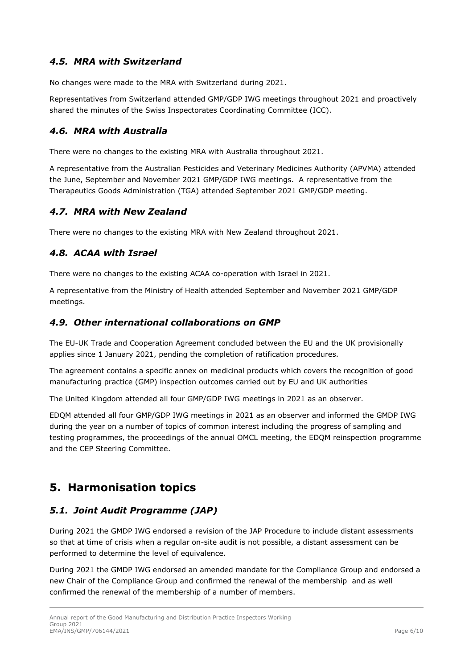## <span id="page-5-0"></span>*4.5. MRA with Switzerland*

No changes were made to the MRA with Switzerland during 2021.

Representatives from Switzerland attended GMP/GDP IWG meetings throughout 2021 and proactively shared the minutes of the Swiss Inspectorates Coordinating Committee (ICC).

## <span id="page-5-1"></span>*4.6. MRA with Australia*

There were no changes to the existing MRA with Australia throughout 2021.

A representative from the Australian Pesticides and Veterinary Medicines Authority (APVMA) attended the June, September and November 2021 GMP/GDP IWG meetings. A representative from the Therapeutics Goods Administration (TGA) attended September 2021 GMP/GDP meeting.

### <span id="page-5-2"></span>*4.7. MRA with New Zealand*

There were no changes to the existing MRA with New Zealand throughout 2021.

## <span id="page-5-3"></span>*4.8. ACAA with Israel*

There were no changes to the existing ACAA co-operation with Israel in 2021.

A representative from the Ministry of Health attended September and November 2021 GMP/GDP meetings.

#### <span id="page-5-4"></span>*4.9. Other international collaborations on GMP*

The EU-UK Trade and Cooperation Agreement concluded between the EU and the UK provisionally applies since 1 January 2021, pending the completion of ratification procedures.

The agreement contains a specific annex on medicinal products which covers the recognition of good manufacturing practice (GMP) inspection outcomes carried out by EU and UK authorities

The United Kingdom attended all four GMP/GDP IWG meetings in 2021 as an observer.

EDQM attended all four GMP/GDP IWG meetings in 2021 as an observer and informed the GMDP IWG during the year on a number of topics of common interest including the progress of sampling and testing programmes, the proceedings of the annual OMCL meeting, the EDQM reinspection programme and the CEP Steering Committee.

## <span id="page-5-5"></span>**5. Harmonisation topics**

### <span id="page-5-6"></span>*5.1. Joint Audit Programme (JAP)*

During 2021 the GMDP IWG endorsed a revision of the JAP Procedure to include distant assessments so that at time of crisis when a regular on-site audit is not possible, a distant assessment can be performed to determine the level of equivalence.

During 2021 the GMDP IWG endorsed an amended mandate for the Compliance Group and endorsed a new Chair of the Compliance Group and confirmed the renewal of the membership and as well confirmed the renewal of the membership of a number of members.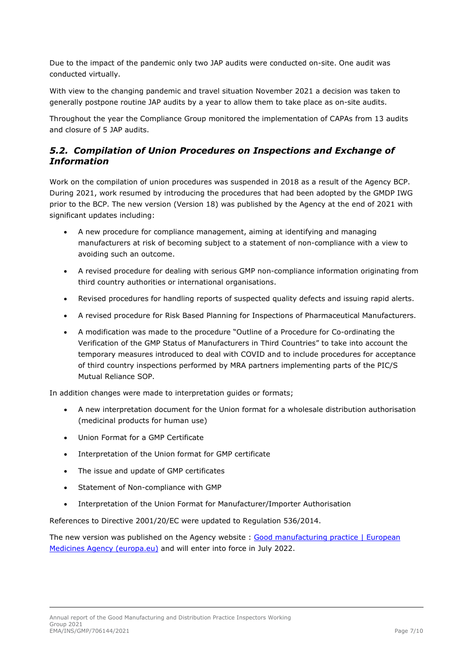Due to the impact of the pandemic only two JAP audits were conducted on-site. One audit was conducted virtually.

With view to the changing pandemic and travel situation November 2021 a decision was taken to generally postpone routine JAP audits by a year to allow them to take place as on-site audits.

Throughout the year the Compliance Group monitored the implementation of CAPAs from 13 audits and closure of 5 JAP audits.

### <span id="page-6-0"></span>*5.2. Compilation of Union Procedures on Inspections and Exchange of Information*

Work on the compilation of union procedures was suspended in 2018 as a result of the Agency BCP. During 2021, work resumed by introducing the procedures that had been adopted by the GMDP IWG prior to the BCP. The new version (Version 18) was published by the Agency at the end of 2021 with significant updates including:

- A new procedure for compliance management, aiming at identifying and managing manufacturers at risk of becoming subject to a statement of non-compliance with a view to avoiding such an outcome.
- A revised procedure for dealing with serious GMP non-compliance information originating from third country authorities or international organisations.
- Revised procedures for handling reports of suspected quality defects and issuing rapid alerts.
- A revised procedure for Risk Based Planning for Inspections of Pharmaceutical Manufacturers.
- A modification was made to the procedure "Outline of a Procedure for Co-ordinating the Verification of the GMP Status of Manufacturers in Third Countries" to take into account the temporary measures introduced to deal with COVID and to include procedures for acceptance of third country inspections performed by MRA partners implementing parts of the PIC/S Mutual Reliance SOP.

In addition changes were made to interpretation guides or formats;

- A new interpretation document for the Union format for a wholesale distribution authorisation (medicinal products for human use)
- Union Format for a GMP Certificate
- Interpretation of the Union format for GMP certificate
- The issue and update of GMP certificates
- Statement of Non-compliance with GMP
- Interpretation of the Union Format for Manufacturer/Importer Authorisation

References to Directive 2001/20/EC were updated to Regulation 536/2014.

The new version was published on the Agency website : Good manufacturing practice | European [Medicines Agency \(europa.eu\)](https://www.ema.europa.eu/en/human-regulatory/research-development/compliance/good-manufacturing-practice#gmp/gdp-inspectors-working-group-section) and will enter into force in July 2022.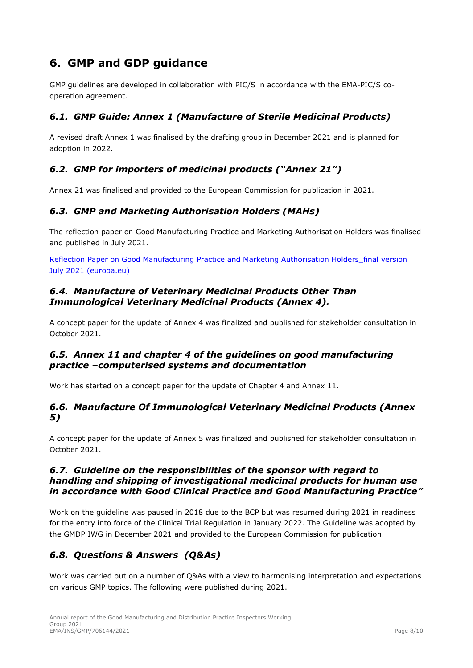# <span id="page-7-0"></span>**6. GMP and GDP guidance**

GMP guidelines are developed in collaboration with PIC/S in accordance with the EMA-PIC/S cooperation agreement.

## <span id="page-7-1"></span>*6.1. GMP Guide: Annex 1 (Manufacture of Sterile Medicinal Products)*

A revised draft Annex 1 was finalised by the drafting group in December 2021 and is planned for adoption in 2022.

## <span id="page-7-2"></span>*6.2. GMP for importers of medicinal products ("Annex 21")*

Annex 21 was finalised and provided to the European Commission for publication in 2021.

## <span id="page-7-3"></span>*6.3. GMP and Marketing Authorisation Holders (MAHs)*

The reflection paper on Good Manufacturing Practice and Marketing Authorisation Holders was finalised and published in July 2021.

Reflection Paper on Good Manufacturing Practice and Marketing Authorisation Holders final version [July 2021 \(europa.eu\)](https://www.ema.europa.eu/en/documents/scientific-guideline/reflection-paper-good-manufacturing-practice-marketing-authorisation-holders_en-0.pdf)

#### <span id="page-7-4"></span>*6.4. Manufacture of Veterinary Medicinal Products Other Than Immunological Veterinary Medicinal Products (Annex 4).*

A concept paper for the update of Annex 4 was finalized and published for stakeholder consultation in October 2021.

#### <span id="page-7-5"></span>*6.5. Annex 11 and chapter 4 of the guidelines on good manufacturing practice –computerised systems and documentation*

Work has started on a concept paper for the update of Chapter 4 and Annex 11.

#### <span id="page-7-6"></span>*6.6. Manufacture Of Immunological Veterinary Medicinal Products (Annex 5)*

A concept paper for the update of Annex 5 was finalized and published for stakeholder consultation in October 2021.

#### <span id="page-7-7"></span>*6.7. Guideline on the responsibilities of the sponsor with regard to handling and shipping of investigational medicinal products for human use in accordance with Good Clinical Practice and Good Manufacturing Practice"*

Work on the guideline was paused in 2018 due to the BCP but was resumed during 2021 in readiness for the entry into force of the Clinical Trial Regulation in January 2022. The Guideline was adopted by the GMDP IWG in December 2021 and provided to the European Commission for publication.

## <span id="page-7-8"></span>*6.8. Questions & Answers (Q&As)*

Work was carried out on a number of Q&As with a view to harmonising interpretation and expectations on various GMP topics. The following were published during 2021.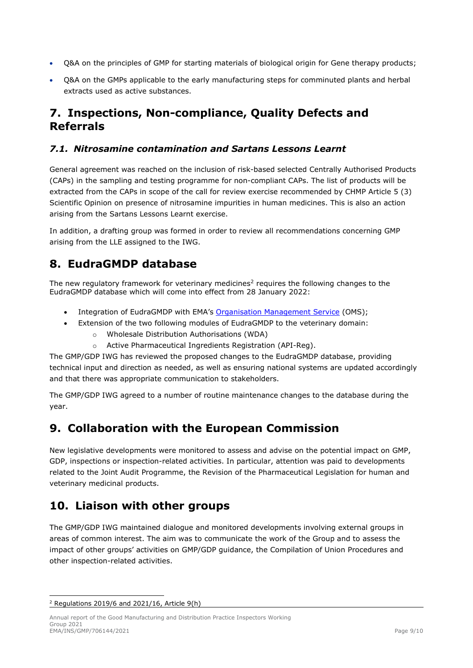- Q&A on the principles of GMP for starting materials of biological origin for Gene therapy products;
- Q&A on the GMPs applicable to the early manufacturing steps for comminuted plants and herbal extracts used as active substances.

## <span id="page-8-0"></span>**7. Inspections, Non-compliance, Quality Defects and Referrals**

### <span id="page-8-1"></span>*7.1. Nitrosamine contamination and Sartans Lessons Learnt*

General agreement was reached on the inclusion of risk-based selected Centrally Authorised Products (CAPs) in the sampling and testing programme for non-compliant CAPs. The list of products will be extracted from the CAPs in scope of the call for review exercise recommended by CHMP Article 5 (3) Scientific Opinion on presence of nitrosamine impurities in human medicines. This is also an action arising from the Sartans Lessons Learnt exercise.

In addition, a drafting group was formed in order to review all recommendations concerning GMP arising from the LLE assigned to the IWG.

## <span id="page-8-2"></span>**8. EudraGMDP database**

The new regulatory framework for veterinary medicines<sup>[2](#page-8-5)</sup> requires the following changes to the EudraGMDP database which will come into effect from 28 January 2022:

- Integration of EudraGMDP with EMA's [Organisation Management Service](https://www.ema.europa.eu/en/human-regulatory/research-development/data-medicines-iso-idmp-standards/spor-master-data/organisation-management-service-oms) (OMS);
- Extension of the two following modules of EudraGMDP to the veterinary domain:
	- o Wholesale Distribution Authorisations (WDA)
	- o Active Pharmaceutical Ingredients Registration (API-Reg).

The GMP/GDP IWG has reviewed the proposed changes to the EudraGMDP database, providing technical input and direction as needed, as well as ensuring national systems are updated accordingly and that there was appropriate communication to stakeholders.

The GMP/GDP IWG agreed to a number of routine maintenance changes to the database during the year.

## <span id="page-8-3"></span>**9. Collaboration with the European Commission**

New legislative developments were monitored to assess and advise on the potential impact on GMP, GDP, inspections or inspection-related activities. In particular, attention was paid to developments related to the Joint Audit Programme, the Revision of the Pharmaceutical Legislation for human and veterinary medicinal products.

## <span id="page-8-4"></span>**10. Liaison with other groups**

The GMP/GDP IWG maintained dialogue and monitored developments involving external groups in areas of common interest. The aim was to communicate the work of the Group and to assess the impact of other groups' activities on GMP/GDP guidance, the Compilation of Union Procedures and other inspection-related activities.

<span id="page-8-5"></span> $2$  Regulations 2019/6 and 2021/16, Article 9(h)